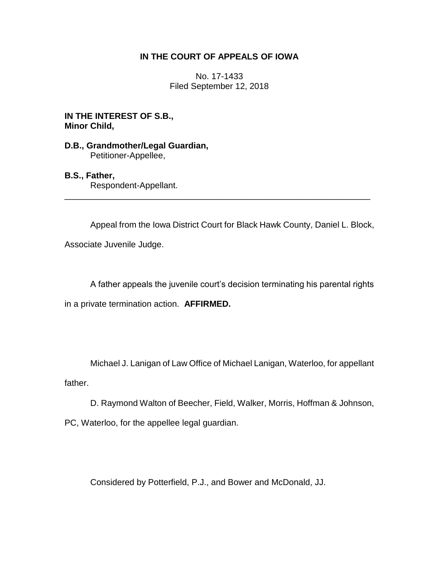# **IN THE COURT OF APPEALS OF IOWA**

No. 17-1433 Filed September 12, 2018

**IN THE INTEREST OF S.B., Minor Child,**

# **D.B., Grandmother/Legal Guardian,** Petitioner-Appellee,

### **B.S., Father,**

Respondent-Appellant.

Appeal from the Iowa District Court for Black Hawk County, Daniel L. Block,

\_\_\_\_\_\_\_\_\_\_\_\_\_\_\_\_\_\_\_\_\_\_\_\_\_\_\_\_\_\_\_\_\_\_\_\_\_\_\_\_\_\_\_\_\_\_\_\_\_\_\_\_\_\_\_\_\_\_\_\_\_\_\_\_

Associate Juvenile Judge.

A father appeals the juvenile court's decision terminating his parental rights

in a private termination action. **AFFIRMED.**

Michael J. Lanigan of Law Office of Michael Lanigan, Waterloo, for appellant father.

D. Raymond Walton of Beecher, Field, Walker, Morris, Hoffman & Johnson,

PC, Waterloo, for the appellee legal guardian.

Considered by Potterfield, P.J., and Bower and McDonald, JJ.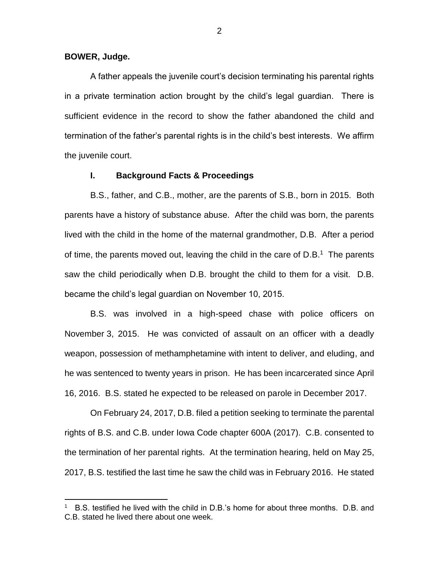#### **BOWER, Judge.**

 $\overline{a}$ 

A father appeals the juvenile court's decision terminating his parental rights in a private termination action brought by the child's legal guardian. There is sufficient evidence in the record to show the father abandoned the child and termination of the father's parental rights is in the child's best interests. We affirm the juvenile court.

### **I. Background Facts & Proceedings**

B.S., father, and C.B., mother, are the parents of S.B., born in 2015. Both parents have a history of substance abuse. After the child was born, the parents lived with the child in the home of the maternal grandmother, D.B. After a period of time, the parents moved out, leaving the child in the care of  $D.B.^1$  The parents saw the child periodically when D.B. brought the child to them for a visit. D.B. became the child's legal guardian on November 10, 2015.

B.S. was involved in a high-speed chase with police officers on November 3, 2015. He was convicted of assault on an officer with a deadly weapon, possession of methamphetamine with intent to deliver, and eluding, and he was sentenced to twenty years in prison. He has been incarcerated since April 16, 2016. B.S. stated he expected to be released on parole in December 2017.

On February 24, 2017, D.B. filed a petition seeking to terminate the parental rights of B.S. and C.B. under Iowa Code chapter 600A (2017). C.B. consented to the termination of her parental rights. At the termination hearing, held on May 25, 2017, B.S. testified the last time he saw the child was in February 2016. He stated

<sup>1</sup> B.S. testified he lived with the child in D.B.'s home for about three months. D.B. and C.B. stated he lived there about one week.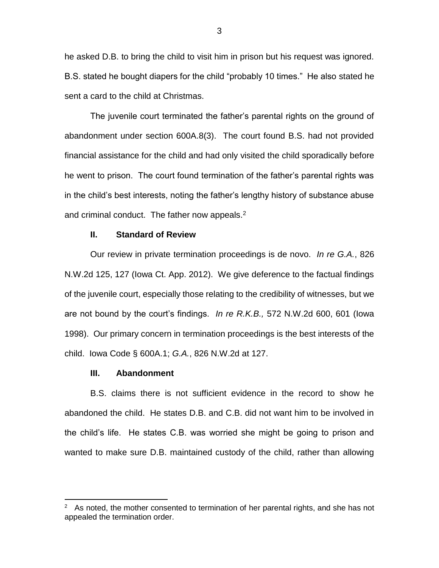he asked D.B. to bring the child to visit him in prison but his request was ignored. B.S. stated he bought diapers for the child "probably 10 times." He also stated he sent a card to the child at Christmas.

The juvenile court terminated the father's parental rights on the ground of abandonment under section 600A.8(3). The court found B.S. had not provided financial assistance for the child and had only visited the child sporadically before he went to prison. The court found termination of the father's parental rights was in the child's best interests, noting the father's lengthy history of substance abuse and criminal conduct. The father now appeals.<sup>2</sup>

#### **II. Standard of Review**

Our review in private termination proceedings is de novo. *In re G.A.*, 826 N.W.2d 125, 127 (Iowa Ct. App. 2012). We give deference to the factual findings of the juvenile court, especially those relating to the credibility of witnesses, but we are not bound by the court's findings. *In re R.K.B.,* 572 N.W.2d 600, 601 (Iowa 1998). Our primary concern in termination proceedings is the best interests of the child. Iowa Code § 600A.1; *G.A.*, 826 N.W.2d at 127.

#### **III. Abandonment**

 $\overline{a}$ 

B.S. claims there is not sufficient evidence in the record to show he abandoned the child. He states D.B. and C.B. did not want him to be involved in the child's life. He states C.B. was worried she might be going to prison and wanted to make sure D.B. maintained custody of the child, rather than allowing

<sup>2</sup> As noted, the mother consented to termination of her parental rights, and she has not appealed the termination order.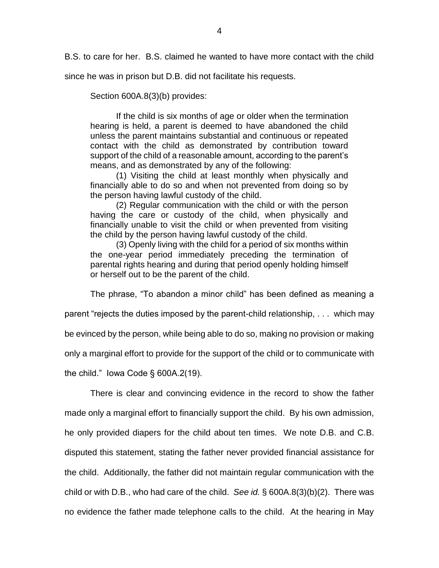B.S. to care for her. B.S. claimed he wanted to have more contact with the child

since he was in prison but D.B. did not facilitate his requests.

Section 600A.8(3)(b) provides:

If the child is six months of age or older when the termination hearing is held, a parent is deemed to have abandoned the child unless the parent maintains substantial and continuous or repeated contact with the child as demonstrated by contribution toward support of the child of a reasonable amount, according to the parent's means, and as demonstrated by any of the following:

(1) Visiting the child at least monthly when physically and financially able to do so and when not prevented from doing so by the person having lawful custody of the child.

(2) Regular communication with the child or with the person having the care or custody of the child, when physically and financially unable to visit the child or when prevented from visiting the child by the person having lawful custody of the child.

(3) Openly living with the child for a period of six months within the one-year period immediately preceding the termination of parental rights hearing and during that period openly holding himself or herself out to be the parent of the child.

The phrase, "To abandon a minor child" has been defined as meaning a

parent "rejects the duties imposed by the parent-child relationship, . . . which may

be evinced by the person, while being able to do so, making no provision or making

only a marginal effort to provide for the support of the child or to communicate with

the child." Iowa Code § 600A.2(19).

There is clear and convincing evidence in the record to show the father made only a marginal effort to financially support the child. By his own admission, he only provided diapers for the child about ten times. We note D.B. and C.B. disputed this statement, stating the father never provided financial assistance for the child. Additionally, the father did not maintain regular communication with the child or with D.B., who had care of the child. *See id.* § 600A.8(3)(b)(2). There was no evidence the father made telephone calls to the child. At the hearing in May